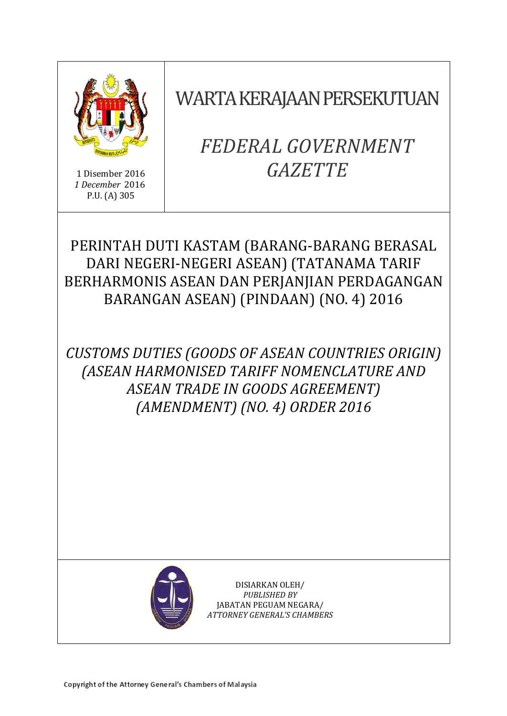

1 Disember 2016 *1 December* 2016 P.U. (A) 305

WARTA KERAJAAN PERSEKUTUAN

# *FEDERAL GOVERNMENT GAZETTE*

## PERINTAH DUTI KASTAM (BARANG-BARANG BERASAL DARI NEGERI-NEGERI ASEAN) (TATANAMA TARIF BERHARMONIS ASEAN DAN PERJANJIAN PERDAGANGAN BARANGAN ASEAN) (PINDAAN) (NO. 4) 2016

*CUSTOMS DUTIES (GOODS OF ASEAN COUNTRIES ORIGIN) (ASEAN HARMONISED TARIFF NOMENCLATURE AND ASEAN TRADE IN GOODS AGREEMENT) (AMENDMENT) (NO. 4) ORDER 2016*



DISIARKAN OLEH/ *PUBLISHED BY* JABATAN PEGUAM NEGARA/ *ATTORNEY GENERAL'S CHAMBERS*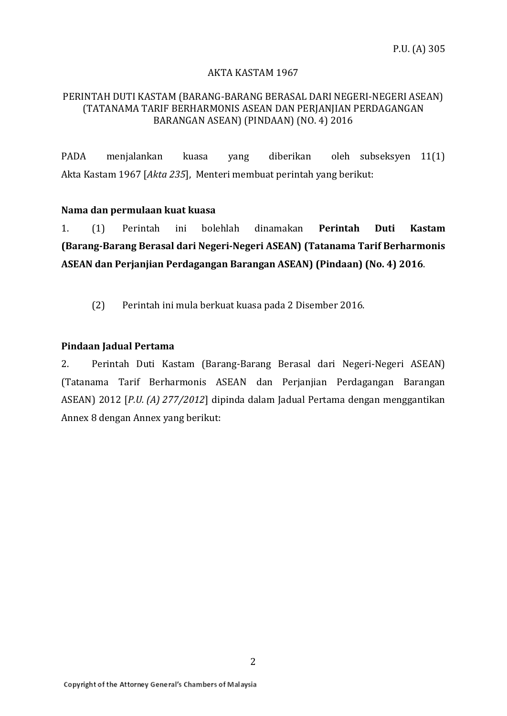#### AKTA KASTAM 1967

#### PERINTAH DUTI KASTAM (BARANG-BARANG BERASAL DARI NEGERI-NEGERI ASEAN) (TATANAMA TARIF BERHARMONIS ASEAN DAN PERJANJIAN PERDAGANGAN BARANGAN ASEAN) (PINDAAN) (NO. 4) 2016

PADA menjalankan kuasa yang diberikan oleh subseksyen 11(1) Akta Kastam 1967 [*Akta 235*], Menteri membuat perintah yang berikut:

#### **Nama dan permulaan kuat kuasa**

1. (1) Perintah ini bolehlah dinamakan **Perintah Duti Kastam (Barang-Barang Berasal dari Negeri-Negeri ASEAN) (Tatanama Tarif Berharmonis ASEAN dan Perjanjian Perdagangan Barangan ASEAN) (Pindaan) (No. 4) 2016**.

(2) Perintah ini mula berkuat kuasa pada 2 Disember 2016.

#### **Pindaan Jadual Pertama**

2. Perintah Duti Kastam (Barang-Barang Berasal dari Negeri-Negeri ASEAN) (Tatanama Tarif Berharmonis ASEAN dan Perjanjian Perdagangan Barangan ASEAN) 2012 [*P.U. (A) 277/2012*] dipinda dalam Jadual Pertama dengan menggantikan Annex 8 dengan Annex yang berikut: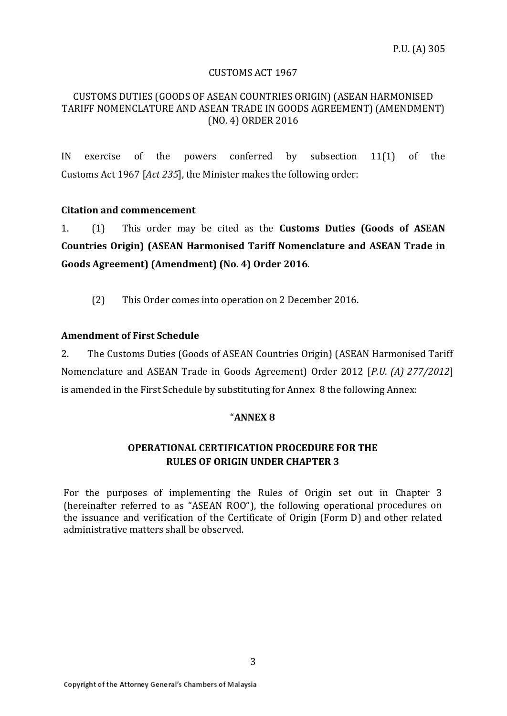#### CUSTOMS ACT 1967

#### CUSTOMS DUTIES (GOODS OF ASEAN COUNTRIES ORIGIN) (ASEAN HARMONISED TARIFF NOMENCLATURE AND ASEAN TRADE IN GOODS AGREEMENT) (AMENDMENT) (NO. 4) ORDER 2016

IN exercise of the powers conferred by subsection 11(1) of the Customs Act 1967 [*Act 235*], the Minister makes the following order:

#### **Citation and commencement**

1. (1) This order may be cited as the **Customs Duties (Goods of ASEAN Countries Origin) (ASEAN Harmonised Tariff Nomenclature and ASEAN Trade in Goods Agreement) (Amendment) (No. 4) Order 2016**.

(2) This Order comes into operation on 2 December 2016.

#### **Amendment of First Schedule**

2. The Customs Duties (Goods of ASEAN Countries Origin) (ASEAN Harmonised Tariff Nomenclature and ASEAN Trade in Goods Agreement) Order 2012 [*P.U. (A) 277/2012*] is amended in the First Schedule by substituting for Annex 8 the following Annex:

#### "**ANNEX 8**

## **OPERATIONAL CERTIFICATION PROCEDURE FOR THE RULES OF ORIGIN UNDER CHAPTER 3**

For the purposes of implementing the Rules of Origin set out in Chapter 3 (hereinafter referred to as "ASEAN ROO"), the following operational procedures on the issuance and verification of the Certificate of Origin (Form D) and other related administrative matters shall be observed.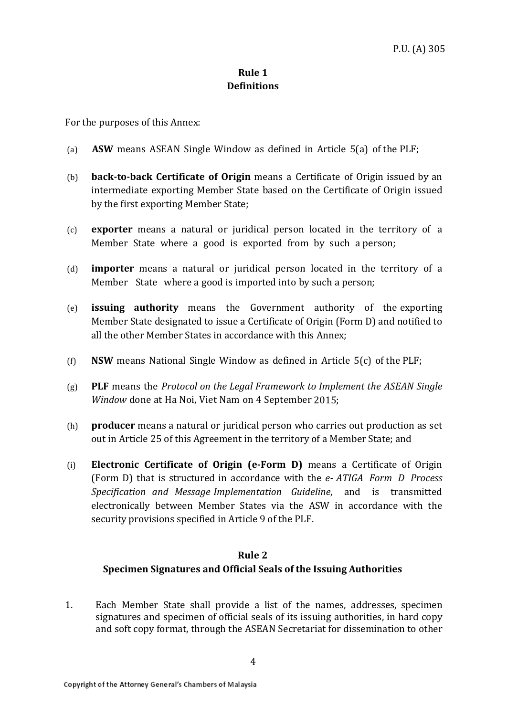## **Rule 1 Definitions**

For the purposes of this Annex:

- (a) **ASW** means ASEAN Single Window as defined in Article 5(a) of the PLF;
- (b) **back-to-back Certificate of Origin** means a Certificate of Origin issued by an intermediate exporting Member State based on the Certificate of Origin issued by the first exporting Member State;
- (c) **exporter** means a natural or juridical person located in the territory of a Member State where a good is exported from by such a person;
- (d) **importer** means a natural or juridical person located in the territory of a Member State where a good is imported into by such a person;
- (e) **issuing authority** means the Government authority of the exporting Member State designated to issue a Certificate of Origin (Form D) and notified to all the other Member States in accordance with this Annex;
- (f) **NSW** means National Single Window as defined in Article 5(c) of the PLF;
- (g) **PLF** means the *Protocol on the Legal Framework to Implement the ASEAN Single Window* done at Ha Noi, Viet Nam on 4 September 2015;
- (h) **producer** means a natural or juridical person who carries out production as set out in Article 25 of this Agreement in the territory of a Member State; and
- (i) **Electronic Certificate of Origin (e-Form D)** means a Certificate of Origin (Form D) that is structured in accordance with the *e- ATIGA Form D Process Specification and Message Implementation Guideline*, and is transmitted electronically between Member States via the ASW in accordance with the security provisions specified in Article 9 of the PLF.

## **Rule 2 Specimen Signatures and Official Seals of the Issuing Authorities**

1. Each Member State shall provide a list of the names, addresses, specimen signatures and specimen of official seals of its issuing authorities, in hard copy and soft copy format, through the ASEAN Secretariat for dissemination to other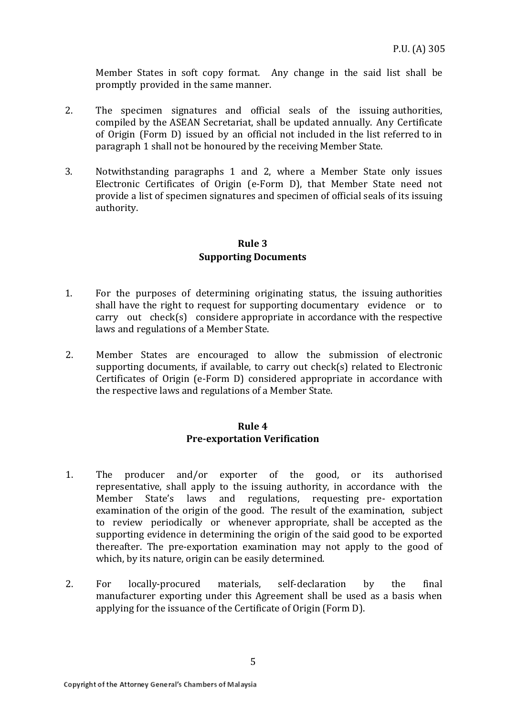Member States in soft copy format. Any change in the said list shall be promptly provided in the same manner.

- 2. The specimen signatures and official seals of the issuing authorities, compiled by the ASEAN Secretariat, shall be updated annually. Any Certificate of Origin (Form D) issued by an official not included in the list referred to in paragraph 1 shall not be honoured by the receiving Member State.
- 3. Notwithstanding paragraphs 1 and 2, where a Member State only issues Electronic Certificates of Origin (e-Form D), that Member State need not provide a list of specimen signatures and specimen of official seals of its issuing authority.

## **Rule 3 Supporting Documents**

- 1. For the purposes of determining originating status, the issuing authorities shall have the right to request for supporting documentary evidence or to carry out check(s) considere appropriate in accordance with the respective laws and regulations of a Member State.
- 2. Member States are encouraged to allow the submission of electronic supporting documents, if available, to carry out check(s) related to Electronic Certificates of Origin (e-Form D) considered appropriate in accordance with the respective laws and regulations of a Member State.

## **Rule 4 Pre-exportation Verification**

- 1. The producer and/or exporter of the good, or its authorised representative, shall apply to the issuing authority, in accordance with the Member State's laws and regulations, requesting pre- exportation examination of the origin of the good. The result of the examination, subject to review periodically or whenever appropriate, shall be accepted as the supporting evidence in determining the origin of the said good to be exported thereafter. The pre-exportation examination may not apply to the good of which, by its nature, origin can be easily determined.
- 2. For locally-procured materials, self-declaration by the final manufacturer exporting under this Agreement shall be used as a basis when applying for the issuance of the Certificate of Origin (Form D).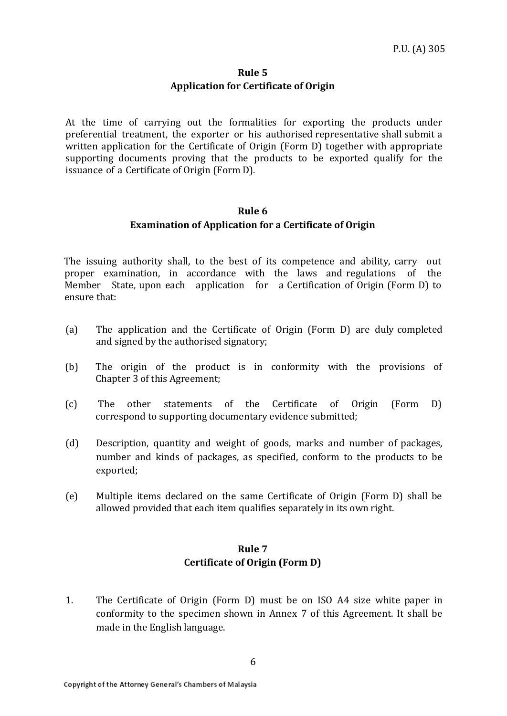## **Rule 5 Application for Certificate of Origin**

At the time of carrying out the formalities for exporting the products under preferential treatment, the exporter or his authorised representative shall submit a written application for the Certificate of Origin (Form D) together with appropriate supporting documents proving that the products to be exported qualify for the issuance of a Certificate of Origin (Form D).

## **Rule 6 Examination of Application for a Certificate of Origin**

The issuing authority shall, to the best of its competence and ability, carry out proper examination, in accordance with the laws and regulations of the Member State, upon each application for a Certification of Origin (Form D) to ensure that:

- (a) The application and the Certificate of Origin (Form D) are duly completed and signed by the authorised signatory;
- (b) The origin of the product is in conformity with the provisions of Chapter 3 of this Agreement;
- (c) The other statements of the Certificate of Origin (Form D) correspond to supporting documentary evidence submitted;
- (d) Description, quantity and weight of goods, marks and number of packages, number and kinds of packages, as specified, conform to the products to be exported;
- (e) Multiple items declared on the same Certificate of Origin (Form D) shall be allowed provided that each item qualifies separately in its own right.

## **Rule 7 Certificate of Origin (Form D)**

1. The Certificate of Origin (Form D) must be on ISO A4 size white paper in conformity to the specimen shown in Annex 7 of this Agreement. It shall be made in the English language.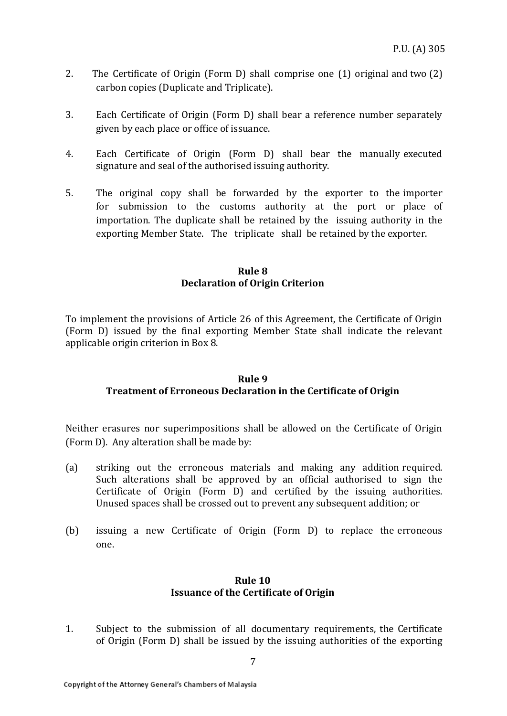- 2. The Certificate of Origin (Form D) shall comprise one (1) original and two (2) carbon copies (Duplicate and Triplicate).
- 3. Each Certificate of Origin (Form D) shall bear a reference number separately given by each place or office of issuance.
- 4. Each Certificate of Origin (Form D) shall bear the manually executed signature and seal of the authorised issuing authority.
- 5. The original copy shall be forwarded by the exporter to the importer for submission to the customs authority at the port or place of importation. The duplicate shall be retained by the issuing authority in the exporting Member State. The triplicate shall be retained by the exporter.

#### **Rule 8 Declaration of Origin Criterion**

To implement the provisions of Article 26 of this Agreement, the Certificate of Origin (Form D) issued by the final exporting Member State shall indicate the relevant applicable origin criterion in Box 8.

#### **Rule 9 Treatment of Erroneous Declaration in the Certificate of Origin**

Neither erasures nor superimpositions shall be allowed on the Certificate of Origin (Form D). Any alteration shall be made by:

- (a) striking out the erroneous materials and making any addition required. Such alterations shall be approved by an official authorised to sign the Certificate of Origin (Form D) and certified by the issuing authorities. Unused spaces shall be crossed out to prevent any subsequent addition; or
- (b) issuing a new Certificate of Origin (Form D) to replace the erroneous one.

## **Rule 10 Issuance of the Certificate of Origin**

1. Subject to the submission of all documentary requirements, the Certificate of Origin (Form D) shall be issued by the issuing authorities of the exporting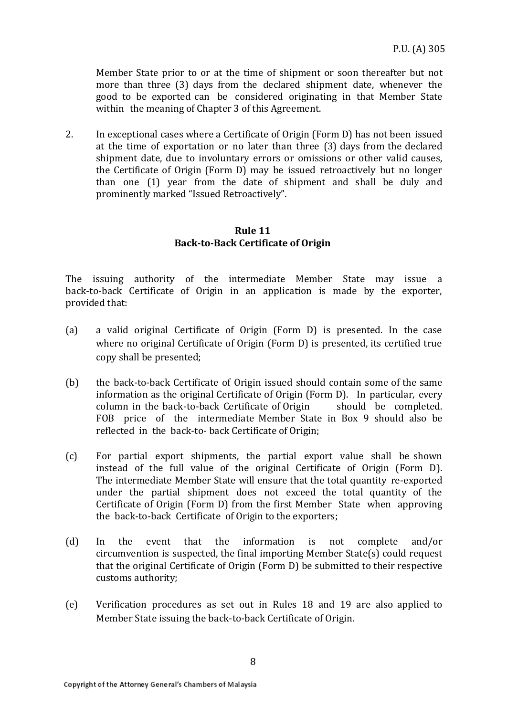Member State prior to or at the time of shipment or soon thereafter but not more than three (3) days from the declared shipment date, whenever the good to be exported can be considered originating in that Member State within the meaning of Chapter 3 of this Agreement.

2. In exceptional cases where a Certificate of Origin (Form D) has not been issued at the time of exportation or no later than three (3) days from the declared shipment date, due to involuntary errors or omissions or other valid causes, the Certificate of Origin (Form D) may be issued retroactively but no longer than one (1) year from the date of shipment and shall be duly and prominently marked "Issued Retroactively".

#### **Rule 11 Back-to-Back Certificate of Origin**

The issuing authority of the intermediate Member State may issue a back-to-back Certificate of Origin in an application is made by the exporter, provided that:

- (a) a valid original Certificate of Origin (Form D) is presented. In the case where no original Certificate of Origin (Form D) is presented, its certified true copy shall be presented;
- (b) the back-to-back Certificate of Origin issued should contain some of the same information as the original Certificate of Origin (Form D). In particular, every column in the back-to-back Certificate of Origin should be completed. FOB price of the intermediate Member State in Box 9 should also be reflected in the back-to- back Certificate of Origin;
- (c) For partial export shipments, the partial export value shall be shown instead of the full value of the original Certificate of Origin (Form D). The intermediate Member State will ensure that the total quantity re-exported under the partial shipment does not exceed the total quantity of the Certificate of Origin (Form D) from the first Member State when approving the back-to-back Certificate of Origin to the exporters;
- (d) In the event that the information is not complete and/or circumvention is suspected, the final importing Member State(s) could request that the original Certificate of Origin (Form D) be submitted to their respective customs authority;
- (e) Verification procedures as set out in Rules 18 and 19 are also applied to Member State issuing the back-to-back Certificate of Origin.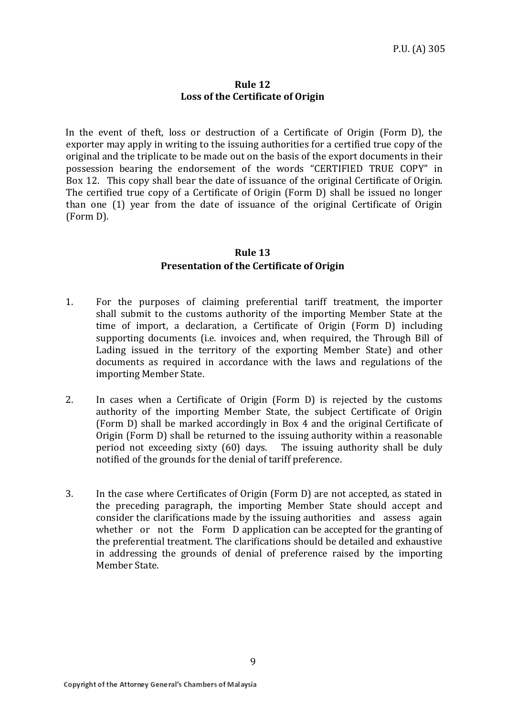#### **Rule 12 Loss of the Certificate of Origin**

In the event of theft, loss or destruction of a Certificate of Origin (Form D), the exporter may apply in writing to the issuing authorities for a certified true copy of the original and the triplicate to be made out on the basis of the export documents in their possession bearing the endorsement of the words "CERTIFIED TRUE COPY" in Box 12. This copy shall bear the date of issuance of the original Certificate of Origin. The certified true copy of a Certificate of Origin (Form D) shall be issued no longer than one (1) year from the date of issuance of the original Certificate of Origin (Form D).

## **Rule 13 Presentation of the Certificate of Origin**

- 1. For the purposes of claiming preferential tariff treatment, the importer shall submit to the customs authority of the importing Member State at the time of import, a declaration, a Certificate of Origin (Form D) including supporting documents (i.e. invoices and, when required, the Through Bill of Lading issued in the territory of the exporting Member State) and other documents as required in accordance with the laws and regulations of the importing Member State.
- 2. In cases when a Certificate of Origin (Form D) is rejected by the customs authority of the importing Member State, the subject Certificate of Origin (Form D) shall be marked accordingly in Box 4 and the original Certificate of Origin (Form D) shall be returned to the issuing authority within a reasonable period not exceeding sixty (60) days. The issuing authority shall be duly notified of the grounds for the denial of tariff preference.
- 3. In the case where Certificates of Origin (Form D) are not accepted, as stated in the preceding paragraph, the importing Member State should accept and consider the clarifications made by the issuing authorities and assess again whether or not the Form D application can be accepted for the granting of the preferential treatment. The clarifications should be detailed and exhaustive in addressing the grounds of denial of preference raised by the importing Member State.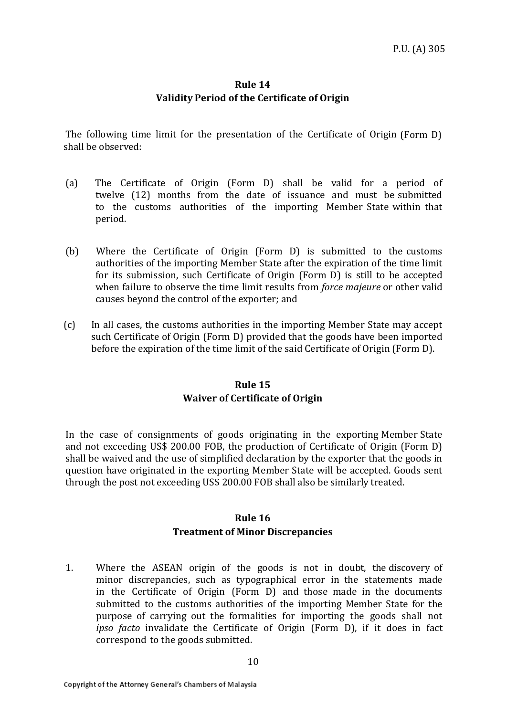## **Rule 14 Validity Period of the Certificate of Origin**

The following time limit for the presentation of the Certificate of Origin (Form D) shall be observed:

- (a) The Certificate of Origin (Form D) shall be valid for a period of twelve (12) months from the date of issuance and must be submitted to the customs authorities of the importing Member State within that period.
- (b) Where the Certificate of Origin (Form D) is submitted to the customs authorities of the importing Member State after the expiration of the time limit for its submission, such Certificate of Origin (Form D) is still to be accepted when failure to observe the time limit results from *force majeure* or other valid causes beyond the control of the exporter; and
- (c) In all cases, the customs authorities in the importing Member State may accept such Certificate of Origin (Form D) provided that the goods have been imported before the expiration of the time limit of the said Certificate of Origin (Form D).

## **Rule 15 Waiver of Certificate of Origin**

In the case of consignments of goods originating in the exporting Member State and not exceeding US\$ 200.00 FOB, the production of Certificate of Origin (Form D) shall be waived and the use of simplified declaration by the exporter that the goods in question have originated in the exporting Member State will be accepted. Goods sent through the post not exceeding US\$ 200.00 FOB shall also be similarly treated.

## **Rule 16**

## **Treatment of Minor Discrepancies**

1. Where the ASEAN origin of the goods is not in doubt, the discovery of minor discrepancies, such as typographical error in the statements made in the Certificate of Origin (Form D) and those made in the documents submitted to the customs authorities of the importing Member State for the purpose of carrying out the formalities for importing the goods shall not *ipso facto* invalidate the Certificate of Origin (Form D), if it does in fact correspond to the goods submitted.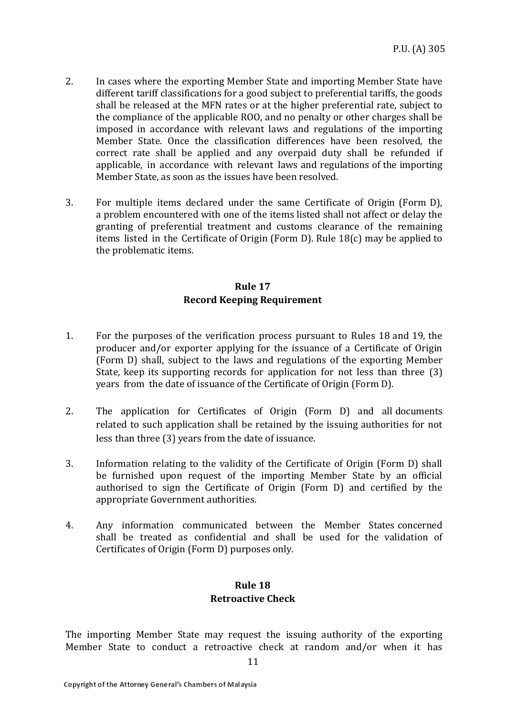- 2. In cases where the exporting Member State and importing Member State have different tariff classifications for a good subject to preferential tariffs, the goods shall be released at the MFN rates or at the higher preferential rate, subject to the compliance of the applicable ROO, and no penalty or other charges shall be imposed in accordance with relevant laws and regulations of the importing Member State. Once the classification differences have been resolved, the correct rate shall be applied and any overpaid duty shall be refunded if applicable, in accordance with relevant laws and regulations of the importing Member State, as soon as the issues have been resolved.
- 3. For multiple items declared under the same Certificate of Origin (Form D), a problem encountered with one of the items listed shall not affect or delay the granting of preferential treatment and customs clearance of the remaining items listed in the Certificate of Origin (Form D). Rule 18(c) may be applied to the problematic items.

## **Rule 17 Record Keeping Requirement**

- 1. For the purposes of the verification process pursuant to Rules 18 and 19, the producer and/or exporter applying for the issuance of a Certificate of Origin (Form D) shall, subject to the laws and regulations of the exporting Member State, keep its supporting records for application for not less than three (3) years from the date of issuance of the Certificate of Origin (Form D).
- 2. The application for Certificates of Origin (Form D) and all documents related to such application shall be retained by the issuing authorities for not less than three (3) years from the date of issuance.
- 3. Information relating to the validity of the Certificate of Origin (Form D) shall be furnished upon request of the importing Member State by an official authorised to sign the Certificate of Origin (Form D) and certified by the appropriate Government authorities.
- 4. Any information communicated between the Member States concerned shall be treated as confidential and shall be used for the validation of Certificates of Origin (Form D) purposes only.

## **Rule 18 Retroactive Check**

The importing Member State may request the issuing authority of the exporting Member State to conduct a retroactive check at random and/or when it has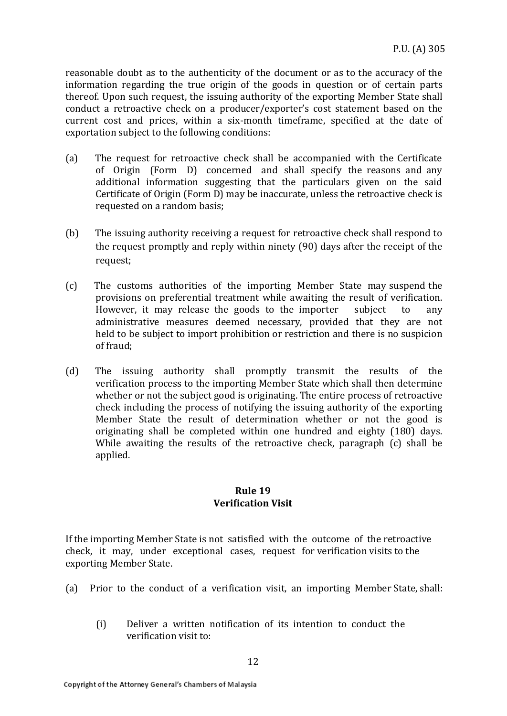reasonable doubt as to the authenticity of the document or as to the accuracy of the information regarding the true origin of the goods in question or of certain parts thereof. Upon such request, the issuing authority of the exporting Member State shall conduct a retroactive check on a producer/exporter's cost statement based on the current cost and prices, within a six-month timeframe, specified at the date of exportation subject to the following conditions:

- (a) The request for retroactive check shall be accompanied with the Certificate of Origin (Form D) concerned and shall specify the reasons and any additional information suggesting that the particulars given on the said Certificate of Origin (Form D) may be inaccurate, unless the retroactive check is requested on a random basis;
- (b) The issuing authority receiving a request for retroactive check shall respond to the request promptly and reply within ninety (90) days after the receipt of the request;
- (c) The customs authorities of the importing Member State may suspend the provisions on preferential treatment while awaiting the result of verification. However, it may release the goods to the importer subject to any administrative measures deemed necessary, provided that they are not held to be subject to import prohibition or restriction and there is no suspicion of fraud;
- (d) The issuing authority shall promptly transmit the results of the verification process to the importing Member State which shall then determine whether or not the subject good is originating. The entire process of retroactive check including the process of notifying the issuing authority of the exporting Member State the result of determination whether or not the good is originating shall be completed within one hundred and eighty (180) days. While awaiting the results of the retroactive check, paragraph (c) shall be applied.

#### **Rule 19 Verification Visit**

If the importing Member State is not satisfied with the outcome of the retroactive check, it may, under exceptional cases, request for verification visits to the exporting Member State.

- (a) Prior to the conduct of a verification visit, an importing Member State, shall:
	- (i) Deliver a written notification of its intention to conduct the verification visit to: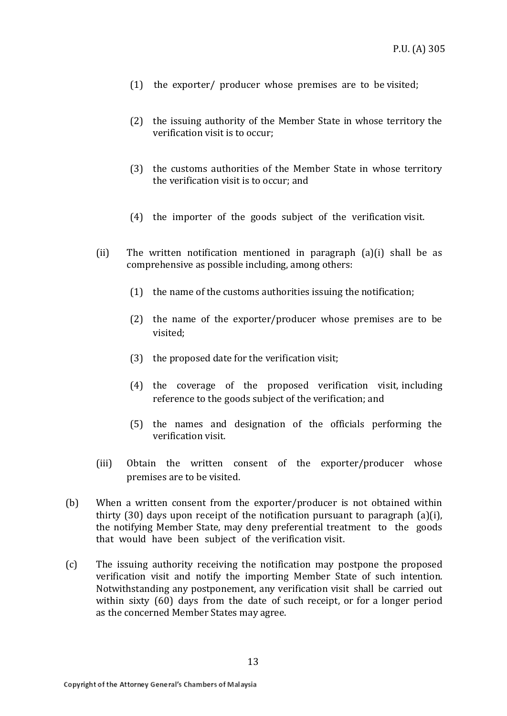- (1) the exporter/ producer whose premises are to be visited;
- (2) the issuing authority of the Member State in whose territory the verification visit is to occur;
- (3) the customs authorities of the Member State in whose territory the verification visit is to occur; and
- (4) the importer of the goods subject of the verification visit.
- (ii) The written notification mentioned in paragraph  $(a)(i)$  shall be as comprehensive as possible including, among others:
	- (1) the name of the customs authorities issuing the notification;
	- (2) the name of the exporter/producer whose premises are to be visited;
	- (3) the proposed date for the verification visit;
	- (4) the coverage of the proposed verification visit, including reference to the goods subject of the verification; and
	- (5) the names and designation of the officials performing the verification visit.
- (iii) Obtain the written consent of the exporter/producer whose premises are to be visited.
- (b) When a written consent from the exporter/producer is not obtained within thirty (30) days upon receipt of the notification pursuant to paragraph (a)(i), the notifying Member State, may deny preferential treatment to the goods that would have been subject of the verification visit.
- (c) The issuing authority receiving the notification may postpone the proposed verification visit and notify the importing Member State of such intention. Notwithstanding any postponement, any verification visit shall be carried out within sixty (60) days from the date of such receipt, or for a longer period as the concerned Member States may agree.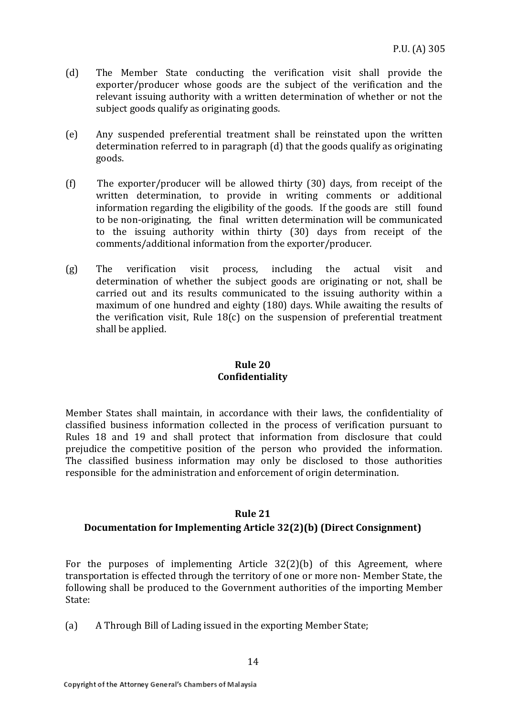- (d) The Member State conducting the verification visit shall provide the exporter/producer whose goods are the subject of the verification and the relevant issuing authority with a written determination of whether or not the subject goods qualify as originating goods.
- (e) Any suspended preferential treatment shall be reinstated upon the written determination referred to in paragraph (d) that the goods qualify as originating goods.
- (f) The exporter/producer will be allowed thirty (30) days, from receipt of the written determination, to provide in writing comments or additional information regarding the eligibility of the goods. If the goods are still found to be non-originating, the final written determination will be communicated to the issuing authority within thirty (30) days from receipt of the comments/additional information from the exporter/producer.
- (g) The verification visit process, including the actual visit and determination of whether the subject goods are originating or not, shall be carried out and its results communicated to the issuing authority within a maximum of one hundred and eighty (180) days. While awaiting the results of the verification visit, Rule  $18(c)$  on the suspension of preferential treatment shall be applied.

## **Rule 20 Confidentiality**

Member States shall maintain, in accordance with their laws, the confidentiality of classified business information collected in the process of verification pursuant to Rules 18 and 19 and shall protect that information from disclosure that could prejudice the competitive position of the person who provided the information. The classified business information may only be disclosed to those authorities responsible for the administration and enforcement of origin determination.

## **Rule 21**

## **Documentation for Implementing Article 32(2)(b) (Direct Consignment)**

For the purposes of implementing Article 32(2)(b) of this Agreement, where transportation is effected through the territory of one or more non- Member State, the following shall be produced to the Government authorities of the importing Member State:

(a) A Through Bill of Lading issued in the exporting Member State;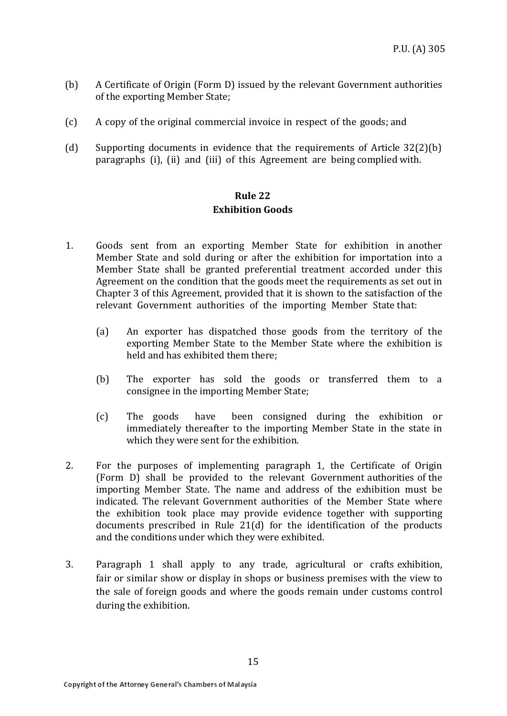- (b) A Certificate of Origin (Form D) issued by the relevant Government authorities of the exporting Member State;
- (c) A copy of the original commercial invoice in respect of the goods; and
- (d) Supporting documents in evidence that the requirements of Article 32(2)(b) paragraphs (i), (ii) and (iii) of this Agreement are being complied with.

## **Rule 22 Exhibition Goods**

- 1. Goods sent from an exporting Member State for exhibition in another Member State and sold during or after the exhibition for importation into a Member State shall be granted preferential treatment accorded under this Agreement on the condition that the goods meet the requirements as set out in Chapter 3 of this Agreement, provided that it is shown to the satisfaction of the relevant Government authorities of the importing Member State that:
	- (a) An exporter has dispatched those goods from the territory of the exporting Member State to the Member State where the exhibition is held and has exhibited them there;
	- (b) The exporter has sold the goods or transferred them to a consignee in the importing Member State;
	- (c) The goods have been consigned during the exhibition or immediately thereafter to the importing Member State in the state in which they were sent for the exhibition.
- 2. For the purposes of implementing paragraph 1, the Certificate of Origin (Form D) shall be provided to the relevant Government authorities of the importing Member State. The name and address of the exhibition must be indicated. The relevant Government authorities of the Member State where the exhibition took place may provide evidence together with supporting documents prescribed in Rule 21(d) for the identification of the products and the conditions under which they were exhibited.
- 3. Paragraph 1 shall apply to any trade, agricultural or crafts exhibition, fair or similar show or display in shops or business premises with the view to the sale of foreign goods and where the goods remain under customs control during the exhibition.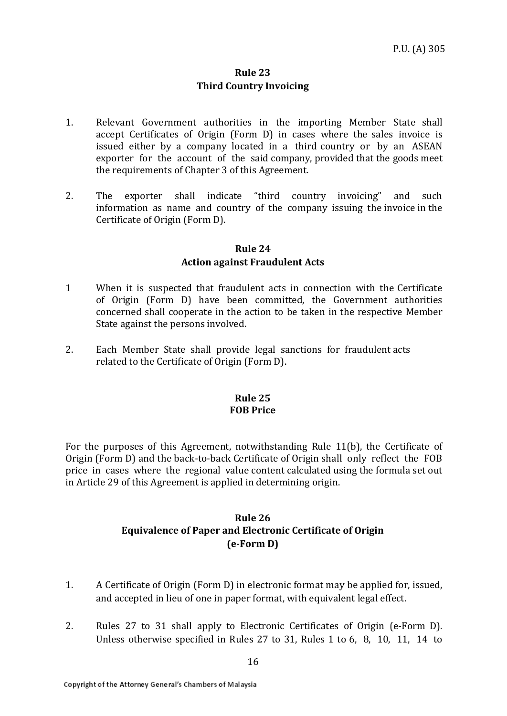## **Rule 23 Third Country Invoicing**

- 1. Relevant Government authorities in the importing Member State shall accept Certificates of Origin (Form D) in cases where the sales invoice is issued either by a company located in a third country or by an ASEAN exporter for the account of the said company, provided that the goods meet the requirements of Chapter 3 of this Agreement.
- 2. The exporter shall indicate "third country invoicing" and such information as name and country of the company issuing the invoice in the Certificate of Origin (Form D).

#### **Rule 24**

#### **Action against Fraudulent Acts**

- 1 When it is suspected that fraudulent acts in connection with the Certificate of Origin (Form D) have been committed, the Government authorities concerned shall cooperate in the action to be taken in the respective Member State against the persons involved.
- 2. Each Member State shall provide legal sanctions for fraudulent acts related to the Certificate of Origin (Form D).

#### **Rule 25 FOB Price**

For the purposes of this Agreement, notwithstanding Rule 11(b), the Certificate of Origin (Form D) and the back-to-back Certificate of Origin shall only reflect the FOB price in cases where the regional value content calculated using the formula set out in Article 29 of this Agreement is applied in determining origin.

## **Rule 26 Equivalence of Paper and Electronic Certificate of Origin (e-Form D)**

- 1. A Certificate of Origin (Form D) in electronic format may be applied for, issued, and accepted in lieu of one in paper format, with equivalent legal effect.
- 2. Rules 27 to 31 shall apply to Electronic Certificates of Origin (e-Form D). Unless otherwise specified in Rules 27 to 31, Rules 1 to 6, 8, 10, 11, 14 to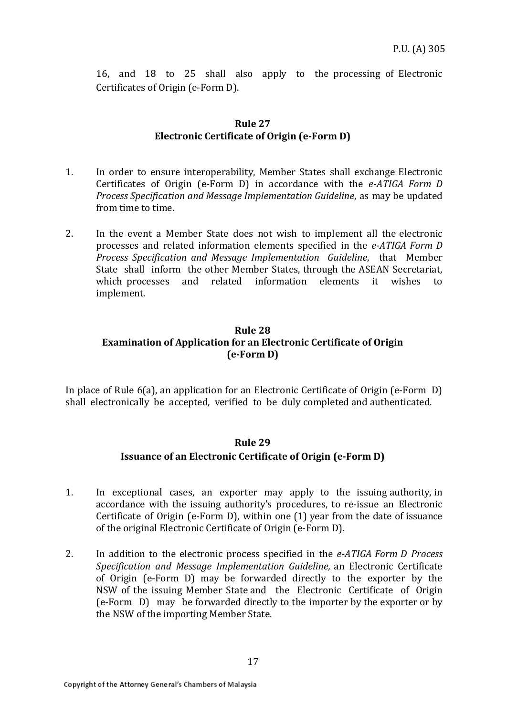16, and 18 to 25 shall also apply to the processing of Electronic Certificates of Origin (e-Form D).

#### **Rule 27 Electronic Certificate of Origin (e-Form D)**

- 1. In order to ensure interoperability, Member States shall exchange Electronic Certificates of Origin (e-Form D) in accordance with the *e-ATIGA Form D Process Specification and Message Implementation Guideline*, as may be updated from time to time.
- 2. In the event a Member State does not wish to implement all the electronic processes and related information elements specified in the *e-ATIGA Form D Process Specification and Message Implementation Guideline*, that Member State shall inform the other Member States, through the ASEAN Secretariat, which processes and related information elements it wishes to implement.

## **Rule 28 Examination of Application for an Electronic Certificate of Origin (e-Form D)**

In place of Rule 6(a), an application for an Electronic Certificate of Origin (e-Form D) shall electronically be accepted, verified to be duly completed and authenticated.

#### **Rule 29**

## **Issuance of an Electronic Certificate of Origin (e-Form D)**

- 1. In exceptional cases, an exporter may apply to the issuing authority, in accordance with the issuing authority's procedures, to re-issue an Electronic Certificate of Origin (e-Form D), within one (1) year from the date of issuance of the original Electronic Certificate of Origin (e-Form D).
- 2. In addition to the electronic process specified in the *e-ATIGA Form D Process Specification and Message Implementation Guideline,* an Electronic Certificate of Origin (e-Form D) may be forwarded directly to the exporter by the NSW of the issuing Member State and the Electronic Certificate of Origin (e-Form D) may be forwarded directly to the importer by the exporter or by the NSW of the importing Member State.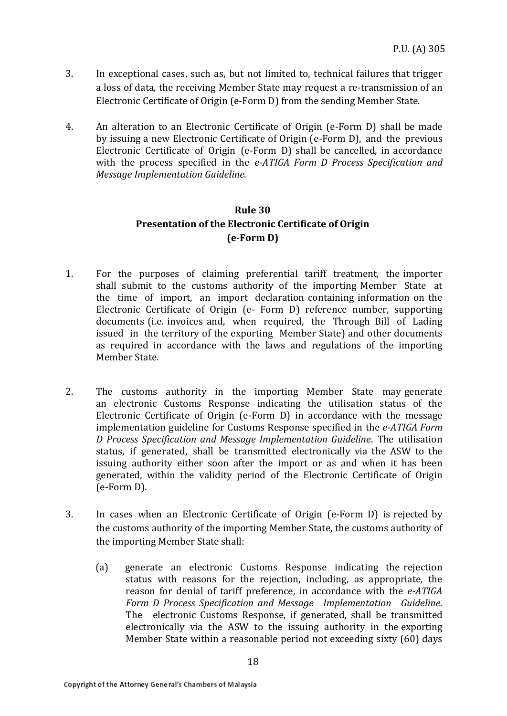- 3. In exceptional cases, such as, but not limited to, technical failures that trigger a loss of data, the receiving Member State may request a re-transmission of an Electronic Certificate of Origin (e-Form D) from the sending Member State.
- 4. An alteration to an Electronic Certificate of Origin (e-Form D) shall be made by issuing a new Electronic Certificate of Origin (e-Form D), and the previous Electronic Certificate of Origin (e-Form D) shall be cancelled, in accordance with the process specified in the *e-ATIGA Form D Process Specification and Message Implementation Guideline.*

## **Rule 30 Presentation of the Electronic Certificate of Origin (e-Form D)**

- 1. For the purposes of claiming preferential tariff treatment, the importer shall submit to the customs authority of the importing Member State at the time of import, an import declaration containing information on the Electronic Certificate of Origin (e- Form D) reference number, supporting documents (i.e. invoices and, when required, the Through Bill of Lading issued in the territory of the exporting Member State) and other documents as required in accordance with the laws and regulations of the importing Member State.
- 2. The customs authority in the importing Member State may generate an electronic Customs Response indicating the utilisation status of the Electronic Certificate of Origin (e-Form D) in accordance with the message implementation guideline for Customs Response specified in the *e-ATIGA Form D Process Specification and Message Implementation Guideline*. The utilisation status, if generated, shall be transmitted electronically via the ASW to the issuing authority either soon after the import or as and when it has been generated, within the validity period of the Electronic Certificate of Origin (e-Form D).
- 3. In cases when an Electronic Certificate of Origin (e-Form D) is rejected by the customs authority of the importing Member State, the customs authority of the importing Member State shall:
	- (a) generate an electronic Customs Response indicating the rejection status with reasons for the rejection, including, as appropriate, the reason for denial of tariff preference, in accordance with the *e-ATIGA Form D Process Specification and Message Implementation Guideline*. The electronic Customs Response, if generated, shall be transmitted electronically via the ASW to the issuing authority in the exporting Member State within a reasonable period not exceeding sixty (60) days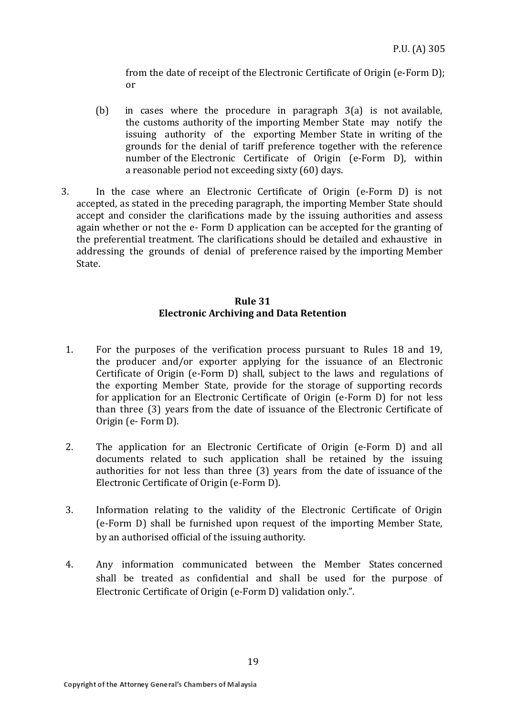from the date of receipt of the Electronic Certificate of Origin (e-Form D); or

- (b) in cases where the procedure in paragraph 3(a) is not available, the customs authority of the importing Member State may notify the issuing authority of the exporting Member State in writing of the grounds for the denial of tariff preference together with the reference number of the Electronic Certificate of Origin (e-Form D), within a reasonable period not exceeding sixty (60) days.
- 3. In the case where an Electronic Certificate of Origin (e-Form D) is not accepted, as stated in the preceding paragraph, the importing Member State should accept and consider the clarifications made by the issuing authorities and assess again whether or not the e- Form D application can be accepted for the granting of the preferential treatment. The clarifications should be detailed and exhaustive in addressing the grounds of denial of preference raised by the importing Member State.

#### **Rule 31 Electronic Archiving and Data Retention**

- 1. For the purposes of the verification process pursuant to Rules 18 and 19, the producer and/or exporter applying for the issuance of an Electronic Certificate of Origin (e-Form D) shall, subject to the laws and regulations of the exporting Member State, provide for the storage of supporting records for application for an Electronic Certificate of Origin (e-Form D) for not less than three (3) years from the date of issuance of the Electronic Certificate of Origin (e- Form D).
- 2. The application for an Electronic Certificate of Origin (e-Form D) and all documents related to such application shall be retained by the issuing authorities for not less than three (3) years from the date of issuance of the Electronic Certificate of Origin (e-Form D).
- 3. Information relating to the validity of the Electronic Certificate of Origin (e-Form D) shall be furnished upon request of the importing Member State, by an authorised official of the issuing authority.
- 4. Any information communicated between the Member States concerned shall be treated as confidential and shall be used for the purpose of Electronic Certificate of Origin (e-Form D) validation only.".